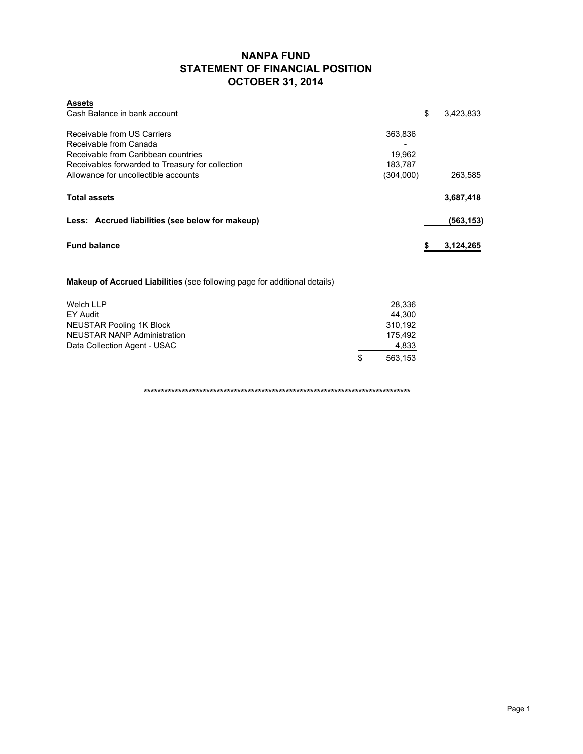## **NANPA FUND STATEMENT OF FINANCIAL POSITION OCTOBER 31, 2014**

| <b>Assets</b><br>Cash Balance in bank account                                                                                                                                            |                                           | \$<br>3,423,833 |
|------------------------------------------------------------------------------------------------------------------------------------------------------------------------------------------|-------------------------------------------|-----------------|
| Receivable from US Carriers<br>Receivable from Canada<br>Receivable from Caribbean countries<br>Receivables forwarded to Treasury for collection<br>Allowance for uncollectible accounts | 363,836<br>19.962<br>183.787<br>(304,000) | 263,585         |
| <b>Total assets</b>                                                                                                                                                                      |                                           | 3,687,418       |
| Less: Accrued liabilities (see below for makeup)                                                                                                                                         |                                           | (563,153)       |
| <b>Fund balance</b>                                                                                                                                                                      |                                           | 3,124,265       |

**Makeup of Accrued Liabilities** (see following page for additional details)

| Welch LLP                    | 28.336       |
|------------------------------|--------------|
| EY Audit                     | 44.300       |
| NEUSTAR Pooling 1K Block     | 310.192      |
| NEUSTAR NANP Administration  | 175.492      |
| Data Collection Agent - USAC | 4,833        |
|                              | 563.153<br>S |

**\*\*\*\*\*\*\*\*\*\*\*\*\*\*\*\*\*\*\*\*\*\*\*\*\*\*\*\*\*\*\*\*\*\*\*\*\*\*\*\*\*\*\*\*\*\*\*\*\*\*\*\*\*\*\*\*\*\*\*\*\*\*\*\*\*\*\*\*\*\*\*\*\*\*\*\*\***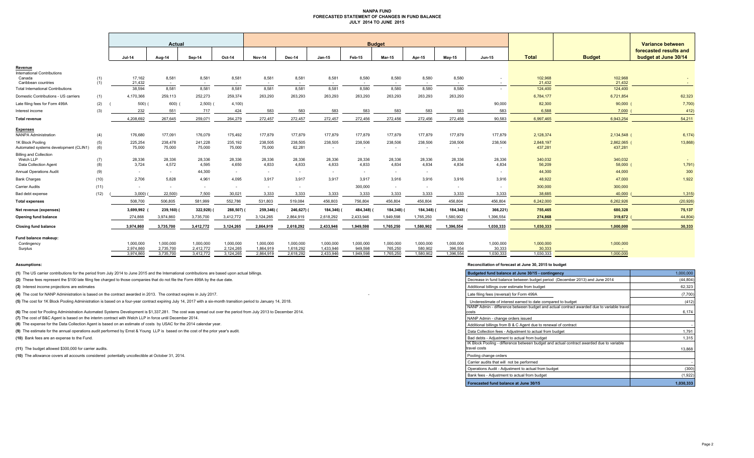#### **NANPA FUND FORECASTED STATEMENT OF CHANGES IN FUND BALANCE JULY 2014 TO JUNE 2015**

|                                          |            | Actual                 |                          |                          | <b>Budget</b>          |                        |                        |                        |                      |                      |                                   |                          |                     | <b>Variance between</b> |                     |                                                |
|------------------------------------------|------------|------------------------|--------------------------|--------------------------|------------------------|------------------------|------------------------|------------------------|----------------------|----------------------|-----------------------------------|--------------------------|---------------------|-------------------------|---------------------|------------------------------------------------|
|                                          |            | <b>Jul-14</b>          | Aug-14                   | Sep-14                   | Oct-14                 | <b>Nov-14</b>          | <b>Dec-14</b>          | $Jan-15$               | Feb-15               | <b>Mar-15</b>        | Apr-15                            | Mav-15                   | <b>Jun-15</b>       | <b>Total</b>            | <b>Budget</b>       | forecasted results and<br>budget at June 30/14 |
| Revenue                                  |            |                        |                          |                          |                        |                        |                        |                        |                      |                      |                                   |                          |                     |                         |                     |                                                |
| <b>International Contributions</b>       |            |                        |                          |                          |                        |                        |                        |                        |                      |                      |                                   |                          |                     |                         |                     |                                                |
| Canada<br>Caribbean countries            | (1)<br>(1) | 17,162<br>21,432       | 8,581<br>$\sim$          | 8,581<br>$\sim$          | 8,581<br>$\sim$        | 8,581                  | 8,581<br>$\sim$        | 8,581<br>$\sim$        | 8,580<br>$\sim$      | 8,580                | 8,580<br>$\overline{\phantom{a}}$ | 8,580<br>$\sim$          | $\sim$              | 102,968<br>21,432       | 102,968<br>21,432   |                                                |
| <b>Total International Contributions</b> |            | 38,594                 | 8,581                    | 8,581                    | 8,581                  | 8,581                  | 8,581                  | 8,581                  | 8,580                | 8,580                | 8,580                             | 8,580                    | $\sim$              | 124,400                 | 124,400             |                                                |
| Domestic Contributions - US carriers     | (1)        | 4,170,366              | 259,113                  | 252,273                  | 259,374                | 263,293                | 263,293                | 263,293                | 263,293              | 263,293              | 263,293                           | 263,293                  |                     | 6,784,177               | 6,721,854           | 62,323                                         |
| Late filing fees for Form 499A           | (2)        | 500)                   | 600)                     | $2,500)$ (               | 4,100)                 |                        |                        |                        |                      |                      |                                   |                          | 90,000              | 82,300                  | $90,000$ (          | 7,700                                          |
| Interest income                          | (3)        | 232                    | 551                      | 717                      | 424                    | 583                    | 583                    | 583                    | 583                  | 583                  | 583                               | 583                      | 583                 | 6,588                   | 7,000               | 412)                                           |
| <b>Total revenue</b>                     |            | 4,208,692              | 267,645                  | 259,071                  | 264,279                | 272,457                | 272,457                | 272,457                | 272,456              | 272,456              | 272,456                           | 272,456                  | 90,583              | 6,997,465               | 6,943,254           | 54,211                                         |
| <b>Expenses</b>                          |            |                        |                          |                          |                        |                        |                        |                        |                      |                      |                                   |                          |                     |                         |                     |                                                |
| <b>NANPA Administration</b>              | (4)        | 176,680                | 177,091                  | 176,079                  | 175,492                | 177,879                | 177,879                | 177,879                | 177,879              | 177,879              | 177,879                           | 177,879                  | 177,879             | 2,128,374               | 2,134,548 (         | 6,174)                                         |
| 1K Block Pooling                         | (5)        | 225,254                | 238,478                  | 241,228                  | 235,192                | 238,505                | 238,505                | 238,505                | 238,506              | 238,506              | 238,506                           | 238,506                  | 238,506             | 2,848,197               | 2,862,065 (         | 13,868)                                        |
| Automated systems development (CLIN1)    | (6)        | 75,000                 | 75,000                   | 75,000                   | 75,000                 | 75,000                 | 62,281                 | $\sim$                 | $\sim$               | $\sim$               | $\sim$                            | $\overline{\phantom{a}}$ | $\sim$              | 437,281                 | 437,281             |                                                |
| <b>Billing and Collection</b>            |            |                        |                          |                          |                        |                        |                        |                        |                      |                      |                                   |                          |                     |                         |                     |                                                |
| Welch LLP<br>Data Collection Agent       | (7)<br>(8) | 28,336<br>3,724        | 28,336<br>4,572          | 28,336<br>4,595          | 28,336<br>4,650        | 28,336<br>4,833        | 28,336<br>4,833        | 28,336<br>4,833        | 28,336<br>4,833      | 28,336<br>4,834      | 28,336<br>4,834                   | 28,336<br>4,834          | 28,336<br>4,834     | 340,032<br>56,209       | 340,032<br>58,000 ( | 1,791)                                         |
| <b>Annual Operations Audit</b>           | (9)        | $\sim$                 | $\sim$                   | 44,300                   | $\sim$ 10 $\pm$        | $\sim$                 | $\sim$                 | $\sim$                 | $\sim$               | $\sim$               | $\sim$ 10 $\pm$                   |                          | $\sim$              | 44,300                  | 44,000              | 300                                            |
| <b>Bank Charges</b>                      | (10)       | 2.706                  | 5,828                    | 4,961                    | 4,095                  | 3.917                  | 3.917                  | 3.917                  | 3,917                | 3,916                | 3,916                             | 3.916                    | 3,916               | 48,922                  | 47,000              | 1,922                                          |
| Carrier Audits                           | (11)       | $\sim$                 | $\overline{\phantom{a}}$ | $\overline{\phantom{a}}$ | $\sim$                 |                        | $\sim$                 |                        | 300,000              | $\sim$               | $\sim$                            |                          | $\sim$              | 300,000                 | 300,000             |                                                |
| Bad debt expense                         | (12)       | 3.000                  | 22,500)                  | 7.500                    | 30.021                 | 3,333                  | 3,333                  | 3,333                  | 3,333                | 3,333                | 3,333                             | 3,333                    | 3,333               | 38,685                  | 40,000              | 1,315                                          |
| <b>Total expenses</b>                    |            | 508,700                | 506,805                  | 581,999                  | 552,786                | 531,803                | 519,084                | 456,803                | 756,804              | 456,804              | 456,804                           | 456,804                  | 456,804             | 6,242,000               | 6,262,926           | (20, 926)                                      |
| Net revenue (expenses)                   |            | 3,699,992              | 239,160)                 | 322,928)                 | 288,507)               | 259,346) (             | 246,627)               | 184,346)               | 484,348)             | 184,348)             | 184,348)                          | 184,348)                 | 366,221)            | 755,465                 | 680,328             | 75,137                                         |
| Opening fund balance                     |            | 274,868                | 3,974,860                | 3,735,700                | 3,412,772              | 3,124,265              | 2,864,919              | 2,618,292              | 2,433,946            | 1,949,598            | 1,765,250                         | 1,580,902                | 1,396,554           | 274,868                 | 319,672             | 44,804                                         |
| <b>Closing fund balance</b>              |            | 3,974,860              | 3,735,700                | 3,412,772                | 3,124,265              | 2.864.919              | 2,618,292              | 2,433,946              | 1,949,598            | 1,765,250            | 1,580,902                         | 1,396,554                | 1,030,333           | 1,030,333               | 1,000,000           | 30,333                                         |
| Fund balance makeup:                     |            |                        |                          |                          |                        |                        |                        |                        |                      |                      |                                   |                          |                     |                         |                     |                                                |
| Contingency                              |            | 1,000,000<br>2.974.860 | 1,000,000                | 1,000,000                | 1,000,000              | 1,000,000              | 1,000,000              | 1,000,000              | 1,000,000            | 1,000,000            | 1,000,000                         | 1,000,000                | 1,000,000           | 1,000,000               | 1,000,000           |                                                |
| Surplus                                  |            | 3.974.860              | 2,735,700<br>3.735.700   | 2,412,772<br>3.412.772   | 2,124,265<br>3.124.265 | 1,864,919<br>2.864.919 | 1,618,292<br>2.618.292 | 1,433,946<br>2.433.946 | 949,598<br>1.949.598 | 765,250<br>1.765.250 | 580,902<br>1.580.902              | 396,554<br>1.396.554     | 30,333<br>1.030.333 | 30,333<br>1.030.333     | 1.000.000           |                                                |

**(1)** The US carrier contributions for the period from July 2014 to June 2015 and the International contributions are based upon actual billings.

(2) These fees represent the \$100 late filing fee charged to those companies that do not file the Form 499A by the due date.

**(3)** Interest income projections are estimates

**(4)** The cost for NANP Administration is based on the contract awarded in 2013. The contract expires in July 2017.

(5) The cost for 1K Block Pooling Administration is based on a four-year contract expiring July 14, 2017 with a six-month transition period to January 14, 2018.

**(6)** The cost for Pooling Administration Automated Systems Development is \$1,337,281. The cost was spread out over the period from July 2013 to December 2014.

**(7)** The cost of B&C Agent is based on the interim contract with Welch LLP in force until December 2014.

(8) The expense for the Data Collection Agent is based on an estimate of costs by USAC for the 2014 calendar year.

(9) The estimate for the annual operations audit performed by Ernst & Young LLP is based on the cost of the prior year's audit.

**(10)** Bank fees are an expense to the Fund.

(11) The budget allowed \$300,000 for carrier audits.

(10) The allowance covers all accounts considered potentially uncollectible at October 31, 2014.

#### **Assumptions: Reconciliation of forecast at June 30, 2015 to budget**

| Budgeted fund balance at June 30/15 - contingency                                                        | 1,000,000 |
|----------------------------------------------------------------------------------------------------------|-----------|
| Decrease in fund balance between budget period (December 2013) and June 2014                             | (44, 804) |
| Additional billings over estimate from budget                                                            | 62,323    |
| Late filing fees (reversal) for Form 499A                                                                | (7,700)   |
| Underestimate of interest earned to date compared to budget                                              | (412)     |
| NANP Admin - difference between budget and actual contract awarded due to variable travel<br>costs       | 6,174     |
| NANP Admin - change orders issued                                                                        |           |
| Additional billings from B & C Agent due to renewal of contract                                          |           |
| Data Collection fees - Adjustment to actual from budget                                                  | 1,791     |
| Bad debts - Adjustment to actual from budget                                                             | 1,315     |
| IK Block Pooling - difference between budget and actual contract awarded due to variable<br>travel costs | 13,868    |
| Pooling change orders                                                                                    |           |
| Carrier audits that will not be performed                                                                |           |
| Operations Audit - Adjustment to actual from budget                                                      | (300)     |
| Bank fees - Adjustment to actual from budget                                                             | (1,922)   |
| Forecasted fund balance at June 30/15                                                                    | 1.030.333 |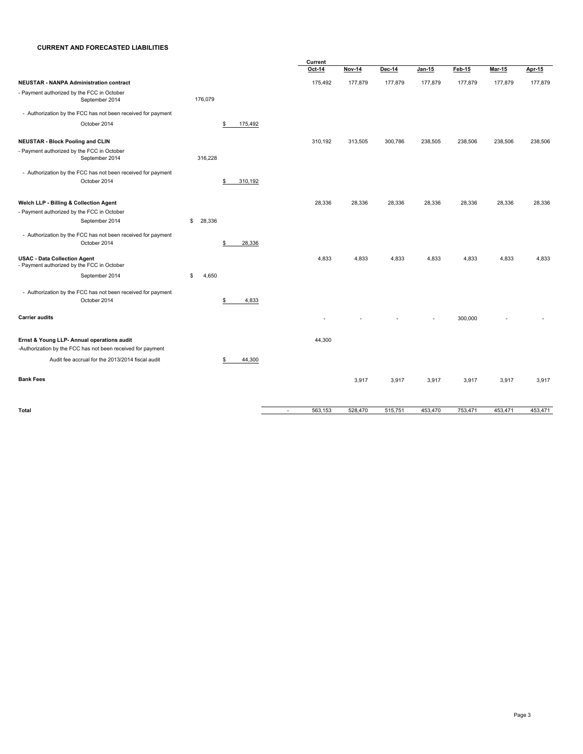#### **CURRENT AND FORECASTED LIABILITIES**

|                                                                                                           |              |         | Current           |               |         |         |         |               |         |
|-----------------------------------------------------------------------------------------------------------|--------------|---------|-------------------|---------------|---------|---------|---------|---------------|---------|
|                                                                                                           |              |         | Oct-14            | <b>Nov-14</b> | Dec-14  | Jan-15  | Feb-15  | <b>Mar-15</b> | Apr-15  |
| <b>NEUSTAR - NANPA Administration contract</b>                                                            |              |         | 175,492           | 177,879       | 177,879 | 177,879 | 177,879 | 177,879       | 177,879 |
| - Payment authorized by the FCC in October<br>September 2014                                              | 176,079      |         |                   |               |         |         |         |               |         |
| - Authorization by the FCC has not been received for payment                                              |              |         |                   |               |         |         |         |               |         |
| October 2014                                                                                              | \$           | 175,492 |                   |               |         |         |         |               |         |
| <b>NEUSTAR - Block Pooling and CLIN</b>                                                                   |              |         | 310.192           | 313,505       | 300,786 | 238,505 | 238,506 | 238,506       | 238,506 |
| - Payment authorized by the FCC in October<br>September 2014                                              | 316,228      |         |                   |               |         |         |         |               |         |
| - Authorization by the FCC has not been received for payment<br>October 2014                              | \$           | 310,192 |                   |               |         |         |         |               |         |
| Welch LLP - Billing & Collection Agent                                                                    |              |         | 28,336            | 28.336        | 28,336  | 28,336  | 28,336  | 28,336        | 28,336  |
| - Payment authorized by the FCC in October                                                                |              |         |                   |               |         |         |         |               |         |
| September 2014                                                                                            | 28,336<br>\$ |         |                   |               |         |         |         |               |         |
| - Authorization by the FCC has not been received for payment<br>October 2014                              | \$           | 28,336  |                   |               |         |         |         |               |         |
| <b>USAC - Data Collection Agent</b><br>- Payment authorized by the FCC in October                         |              |         | 4,833             | 4,833         | 4,833   | 4,833   | 4,833   | 4,833         | 4,833   |
| September 2014                                                                                            | 4,650<br>\$  |         |                   |               |         |         |         |               |         |
| - Authorization by the FCC has not been received for payment<br>October 2014                              | \$           | 4,833   |                   |               |         |         |         |               |         |
| <b>Carrier audits</b>                                                                                     |              |         |                   |               |         | ä,      | 300,000 |               |         |
| Ernst & Young LLP- Annual operations audit<br>-Authorization by the FCC has not been received for payment |              |         | 44,300            |               |         |         |         |               |         |
| Audit fee accrual for the 2013/2014 fiscal audit                                                          | S            | 44,300  |                   |               |         |         |         |               |         |
| <b>Bank Fees</b>                                                                                          |              |         |                   | 3,917         | 3,917   | 3,917   | 3,917   | 3,917         | 3,917   |
| Total                                                                                                     |              |         | 563,153<br>$\sim$ | 528,470       | 515,751 | 453,470 | 753,471 | 453,471       | 453,471 |